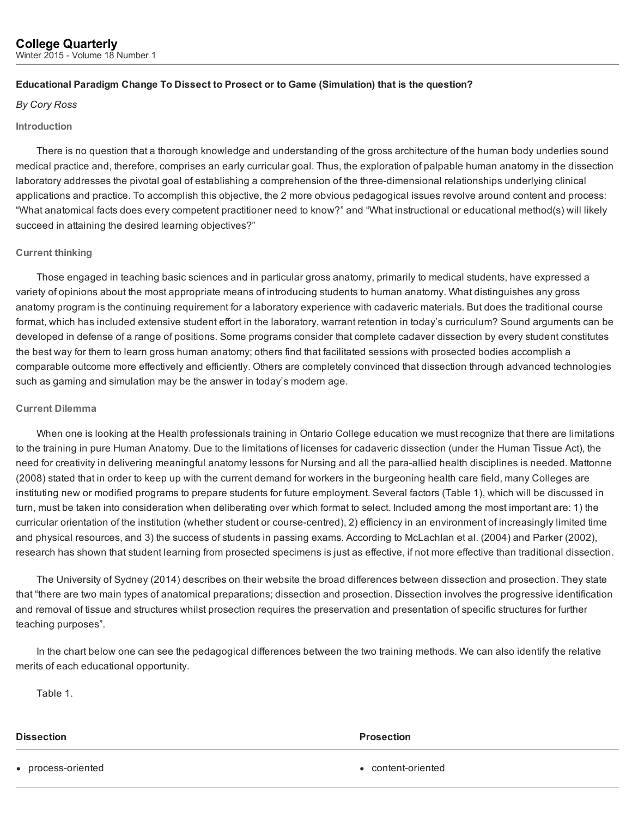# Educational Paradigm Change To Dissect to Prosect or to Game (Simulation) that is the question?

# *By Cory Ross*

### Introduction

There is no question that a thorough knowledge and understanding of the gross architecture of the human body underlies sound medical practice and, therefore, comprises an early curricular goal. Thus, the exploration of palpable human anatomy in the dissection laboratory addresses the pivotal goal of establishing a comprehension of the three-dimensional relationships underlying clinical applications and practice. To accomplish this objective, the 2 more obvious pedagogical issues revolve around content and process: "What anatomical facts does every competent practitioner need to know?" and "What instructional or educational method(s) will likely succeed in attaining the desired learning objectives?"

# Current thinking

Those engaged in teaching basic sciences and in particular gross anatomy, primarily to medical students, have expressed a variety of opinions about the most appropriate means of introducing students to human anatomy. What distinguishes any gross anatomy program is the continuing requirement for a laboratory experience with cadaveric materials. But does the traditional course format, which has included extensive student effort in the laboratory, warrant retention in today's curriculum? Sound arguments can be developed in defense of a range of positions. Some programs consider that complete cadaver dissection by every student constitutes the best way for them to learn gross human anatomy; others find that facilitated sessions with prosected bodies accomplish a comparable outcome more effectively and efficiently. Others are completely convinced that dissection through advanced technologies such as gaming and simulation may be the answer in today's modern age.

# Current Dilemma

When one is looking at the Health professionals training in Ontario College education we must recognize that there are limitations to the training in pure Human Anatomy. Due to the limitations of licenses for cadaveric dissection (under the Human Tissue Act), the need for creativity in delivering meaningful anatomy lessons for Nursing and all the para-allied health disciplines is needed. Mattonne (2008) stated that in order to keep up with the current demand for workers in the burgeoning health care field, many Colleges are instituting new or modified programs to prepare students for future employment. Several factors (Table 1), which will be discussed in turn, must be taken into consideration when deliberating over which format to select. Included among the most important are: 1) the curricular orientation of the institution (whether student or course-centred), 2) efficiency in an environment of increasingly limited time and physical resources, and 3) the success of students in passing exams. According to McLachlan et al. (2004) and Parker (2002), research has shown that student learning from prosected specimens is just as effective, if not more effective than traditional dissection.

The University of Sydney (2014) describes on their website the broad differences between dissection and prosection. They state that "there are two main types of anatomical preparations; dissection and prosection. Dissection involves the progressive identification and removal of tissue and structures whilst prosection requires the preservation and presentation of specific structures for further teaching purposes".

In the chart below one can see the pedagogical differences between the two training methods. We can also identify the relative merits of each educational opportunity.

Table 1.

### **Dissection** Prosection **Prosection**

• process-oriented **contents and content-oriented content-oriented**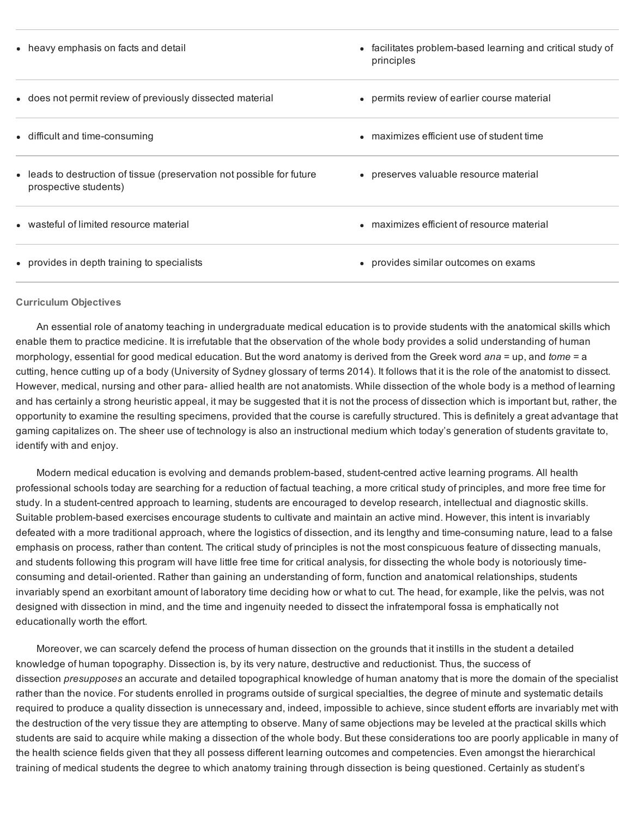| • heavy emphasis on facts and detail                                                            | • facilitates problem-based learning and critical study of<br>principles |
|-------------------------------------------------------------------------------------------------|--------------------------------------------------------------------------|
| • does not permit review of previously dissected material                                       | • permits review of earlier course material                              |
| • difficult and time-consuming                                                                  | • maximizes efficient use of student time                                |
| • leads to destruction of tissue (preservation not possible for future<br>prospective students) | • preserves valuable resource material                                   |
| • wasteful of limited resource material                                                         | • maximizes efficient of resource material                               |
| • provides in depth training to specialists                                                     | • provides similar outcomes on exams                                     |

### Curriculum Objectives

An essential role of anatomy teaching in undergraduate medical education is to provide students with the anatomical skills which enable them to practice medicine. It is irrefutable that the observation of the whole body provides a solid understanding of human morphology, essential for good medical education. But the word anatomy is derived from the Greek word *ana* = up, and *tome* = a cutting, hence cutting up of a body (University of Sydney glossary of terms 2014). It follows that it is the role of the anatomist to dissect. However, medical, nursing and other para- allied health are not anatomists. While dissection of the whole body is a method of learning and has certainly a strong heuristic appeal, it may be suggested that it is not the process of dissection which is important but, rather, the opportunity to examine the resulting specimens, provided that the course is carefully structured. This is definitely a great advantage that gaming capitalizes on. The sheer use of technology is also an instructional medium which today's generation of students gravitate to, identify with and enjoy.

Modern medical education is evolving and demands problem-based, student-centred active learning programs. All health professional schools today are searching for a reduction of factual teaching, a more critical study of principles, and more free time for study. In a student-centred approach to learning, students are encouraged to develop research, intellectual and diagnostic skills. Suitable problem-based exercises encourage students to cultivate and maintain an active mind. However, this intent is invariably defeated with a more traditional approach, where the logistics of dissection, and its lengthy and time-consuming nature, lead to a false emphasis on process, rather than content. The critical study of principles is not the most conspicuous feature of dissecting manuals, and students following this program will have little free time for critical analysis, for dissecting the whole body is notoriously timeconsuming and detail-oriented. Rather than gaining an understanding of form, function and anatomical relationships, students invariably spend an exorbitant amount of laboratory time deciding how or what to cut. The head, for example, like the pelvis, was not designed with dissection in mind, and the time and ingenuity needed to dissect the infratemporal fossa is emphatically not educationally worth the effort.

Moreover, we can scarcely defend the process of human dissection on the grounds that it instills in the student a detailed knowledge of human topography. Dissection is, by its very nature, destructive and reductionist. Thus, the success of dissection *presupposes* an accurate and detailed topographical knowledge of human anatomy that is more the domain of the specialist rather than the novice. For students enrolled in programs outside of surgical specialties, the degree of minute and systematic details required to produce a quality dissection is unnecessary and, indeed, impossible to achieve, since student efforts are invariably met with the destruction of the very tissue they are attempting to observe. Many of same objections may be leveled at the practical skills which students are said to acquire while making a dissection of the whole body. But these considerations too are poorly applicable in many of the health science fields given that they all possess different learning outcomes and competencies. Even amongst the hierarchical training of medical students the degree to which anatomy training through dissection is being questioned. Certainly as student's